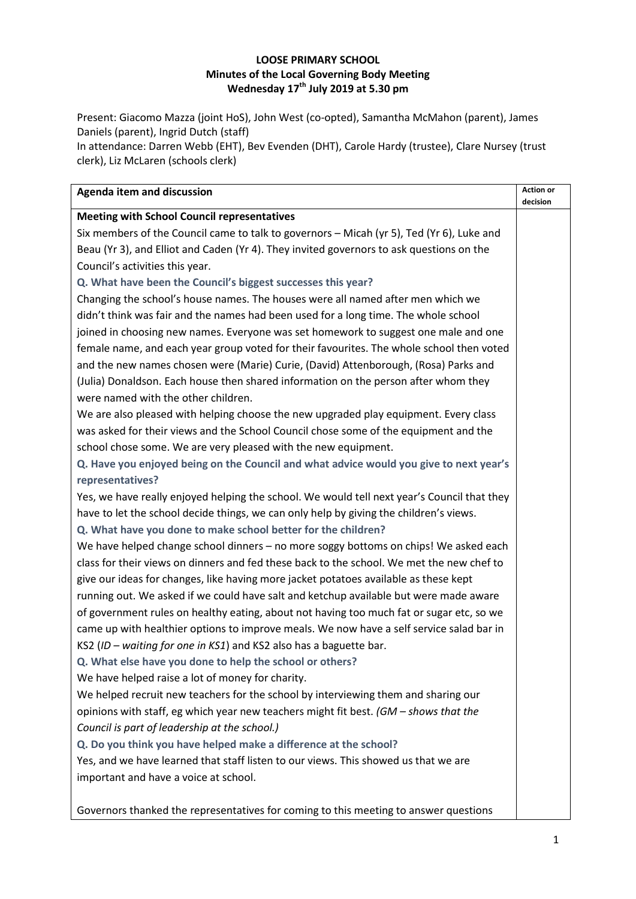### **LOOSE PRIMARY SCHOOL Minutes of the Local Governing Body Meeting Wednesday 17th July 2019 at 5.30 pm**

Present: Giacomo Mazza (joint HoS), John West (co-opted), Samantha McMahon (parent), James Daniels (parent), Ingrid Dutch (staff)

In attendance: Darren Webb (EHT), Bev Evenden (DHT), Carole Hardy (trustee), Clare Nursey (trust clerk), Liz McLaren (schools clerk)

| <b>Agenda item and discussion</b>                                                           | <b>Action or</b><br>decision |
|---------------------------------------------------------------------------------------------|------------------------------|
| <b>Meeting with School Council representatives</b>                                          |                              |
| Six members of the Council came to talk to governors - Micah (yr 5), Ted (Yr 6), Luke and   |                              |
| Beau (Yr 3), and Elliot and Caden (Yr 4). They invited governors to ask questions on the    |                              |
| Council's activities this year.                                                             |                              |
| Q. What have been the Council's biggest successes this year?                                |                              |
| Changing the school's house names. The houses were all named after men which we             |                              |
| didn't think was fair and the names had been used for a long time. The whole school         |                              |
| joined in choosing new names. Everyone was set homework to suggest one male and one         |                              |
| female name, and each year group voted for their favourites. The whole school then voted    |                              |
| and the new names chosen were (Marie) Curie, (David) Attenborough, (Rosa) Parks and         |                              |
| (Julia) Donaldson. Each house then shared information on the person after whom they         |                              |
| were named with the other children.                                                         |                              |
| We are also pleased with helping choose the new upgraded play equipment. Every class        |                              |
| was asked for their views and the School Council chose some of the equipment and the        |                              |
| school chose some. We are very pleased with the new equipment.                              |                              |
| Q. Have you enjoyed being on the Council and what advice would you give to next year's      |                              |
| representatives?                                                                            |                              |
| Yes, we have really enjoyed helping the school. We would tell next year's Council that they |                              |
| have to let the school decide things, we can only help by giving the children's views.      |                              |
| Q. What have you done to make school better for the children?                               |                              |
| We have helped change school dinners - no more soggy bottoms on chips! We asked each        |                              |
| class for their views on dinners and fed these back to the school. We met the new chef to   |                              |
| give our ideas for changes, like having more jacket potatoes available as these kept        |                              |
| running out. We asked if we could have salt and ketchup available but were made aware       |                              |
| of government rules on healthy eating, about not having too much fat or sugar etc, so we    |                              |
| came up with healthier options to improve meals. We now have a self service salad bar in    |                              |
| KS2 (ID - waiting for one in KS1) and KS2 also has a baguette bar.                          |                              |
| Q. What else have you done to help the school or others?                                    |                              |
| We have helped raise a lot of money for charity.                                            |                              |
| We helped recruit new teachers for the school by interviewing them and sharing our          |                              |
| opinions with staff, eg which year new teachers might fit best. (GM - shows that the        |                              |
| Council is part of leadership at the school.)                                               |                              |
| Q. Do you think you have helped make a difference at the school?                            |                              |
| Yes, and we have learned that staff listen to our views. This showed us that we are         |                              |
| important and have a voice at school.                                                       |                              |
|                                                                                             |                              |

Governors thanked the representatives for coming to this meeting to answer questions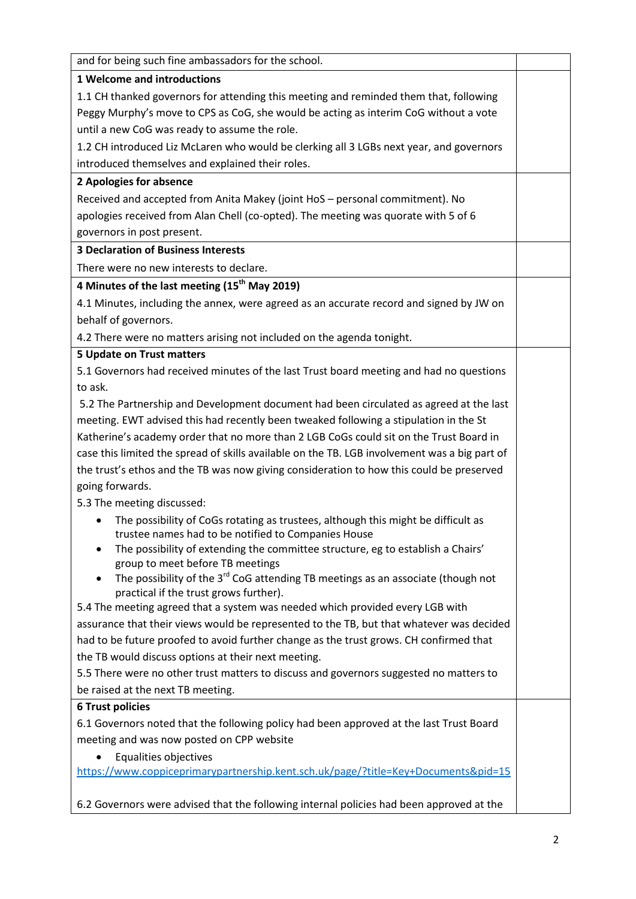| and for being such fine ambassadors for the school.                                                                                           |  |
|-----------------------------------------------------------------------------------------------------------------------------------------------|--|
| <b>1 Welcome and introductions</b>                                                                                                            |  |
| 1.1 CH thanked governors for attending this meeting and reminded them that, following                                                         |  |
| Peggy Murphy's move to CPS as CoG, she would be acting as interim CoG without a vote                                                          |  |
| until a new CoG was ready to assume the role.                                                                                                 |  |
| 1.2 CH introduced Liz McLaren who would be clerking all 3 LGBs next year, and governors                                                       |  |
| introduced themselves and explained their roles.                                                                                              |  |
| 2 Apologies for absence                                                                                                                       |  |
| Received and accepted from Anita Makey (joint HoS - personal commitment). No                                                                  |  |
| apologies received from Alan Chell (co-opted). The meeting was quorate with 5 of 6                                                            |  |
| governors in post present.                                                                                                                    |  |
| <b>3 Declaration of Business Interests</b>                                                                                                    |  |
| There were no new interests to declare.                                                                                                       |  |
| 4 Minutes of the last meeting (15 <sup>th</sup> May 2019)                                                                                     |  |
| 4.1 Minutes, including the annex, were agreed as an accurate record and signed by JW on                                                       |  |
| behalf of governors.                                                                                                                          |  |
| 4.2 There were no matters arising not included on the agenda tonight.                                                                         |  |
| <b>5 Update on Trust matters</b>                                                                                                              |  |
| 5.1 Governors had received minutes of the last Trust board meeting and had no questions                                                       |  |
| to ask.                                                                                                                                       |  |
| 5.2 The Partnership and Development document had been circulated as agreed at the last                                                        |  |
| meeting. EWT advised this had recently been tweaked following a stipulation in the St                                                         |  |
| Katherine's academy order that no more than 2 LGB CoGs could sit on the Trust Board in                                                        |  |
| case this limited the spread of skills available on the TB. LGB involvement was a big part of                                                 |  |
| the trust's ethos and the TB was now giving consideration to how this could be preserved                                                      |  |
| going forwards.                                                                                                                               |  |
| 5.3 The meeting discussed:                                                                                                                    |  |
| The possibility of CoGs rotating as trustees, although this might be difficult as<br>٠<br>trustee names had to be notified to Companies House |  |
| The possibility of extending the committee structure, eg to establish a Chairs'                                                               |  |
| group to meet before TB meetings                                                                                                              |  |
| The possibility of the 3 <sup>rd</sup> CoG attending TB meetings as an associate (though not<br>practical if the trust grows further).        |  |
| 5.4 The meeting agreed that a system was needed which provided every LGB with                                                                 |  |
| assurance that their views would be represented to the TB, but that whatever was decided                                                      |  |
| had to be future proofed to avoid further change as the trust grows. CH confirmed that                                                        |  |
| the TB would discuss options at their next meeting.                                                                                           |  |
| 5.5 There were no other trust matters to discuss and governors suggested no matters to                                                        |  |
| be raised at the next TB meeting.                                                                                                             |  |
| <b>6 Trust policies</b>                                                                                                                       |  |
| 6.1 Governors noted that the following policy had been approved at the last Trust Board                                                       |  |
| meeting and was now posted on CPP website                                                                                                     |  |
| Equalities objectives                                                                                                                         |  |
| https://www.coppiceprimarypartnership.kent.sch.uk/page/?title=Key+Documents&pid=15                                                            |  |
| 6.2 Governors were advised that the following internal policies had been approved at the                                                      |  |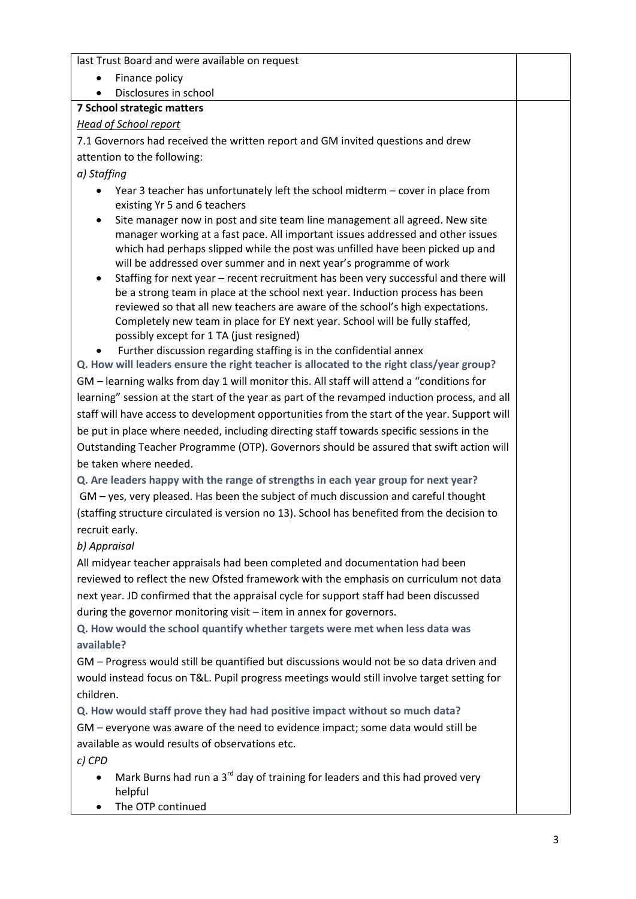last Trust Board and were available on request

- Finance policy
- Disclosures in school

# **7 School strategic matters**

## *Head of School report*

7.1 Governors had received the written report and GM invited questions and drew attention to the following:

*a) Staffing*

- Year 3 teacher has unfortunately left the school midterm cover in place from existing Yr 5 and 6 teachers
- Site manager now in post and site team line management all agreed. New site manager working at a fast pace. All important issues addressed and other issues which had perhaps slipped while the post was unfilled have been picked up and will be addressed over summer and in next year's programme of work
- Staffing for next year recent recruitment has been very successful and there will be a strong team in place at the school next year. Induction process has been reviewed so that all new teachers are aware of the school's high expectations. Completely new team in place for EY next year. School will be fully staffed, possibly except for 1 TA (just resigned)
- Further discussion regarding staffing is in the confidential annex

**Q. How will leaders ensure the right teacher is allocated to the right class/year group?** GM – learning walks from day 1 will monitor this. All staff will attend a "conditions for learning" session at the start of the year as part of the revamped induction process, and all staff will have access to development opportunities from the start of the year. Support will be put in place where needed, including directing staff towards specific sessions in the Outstanding Teacher Programme (OTP). Governors should be assured that swift action will be taken where needed.

**Q. Are leaders happy with the range of strengths in each year group for next year?** GM – yes, very pleased. Has been the subject of much discussion and careful thought (staffing structure circulated is version no 13). School has benefited from the decision to recruit early.

# *b) Appraisal*

All midyear teacher appraisals had been completed and documentation had been reviewed to reflect the new Ofsted framework with the emphasis on curriculum not data next year. JD confirmed that the appraisal cycle for support staff had been discussed during the governor monitoring visit – item in annex for governors.

**Q. How would the school quantify whether targets were met when less data was available?**

GM – Progress would still be quantified but discussions would not be so data driven and would instead focus on T&L. Pupil progress meetings would still involve target setting for children.

**Q. How would staff prove they had had positive impact without so much data?** GM – everyone was aware of the need to evidence impact; some data would still be available as would results of observations etc.

*c) CPD*

- Mark Burns had run a 3<sup>rd</sup> day of training for leaders and this had proved very helpful
- The OTP continued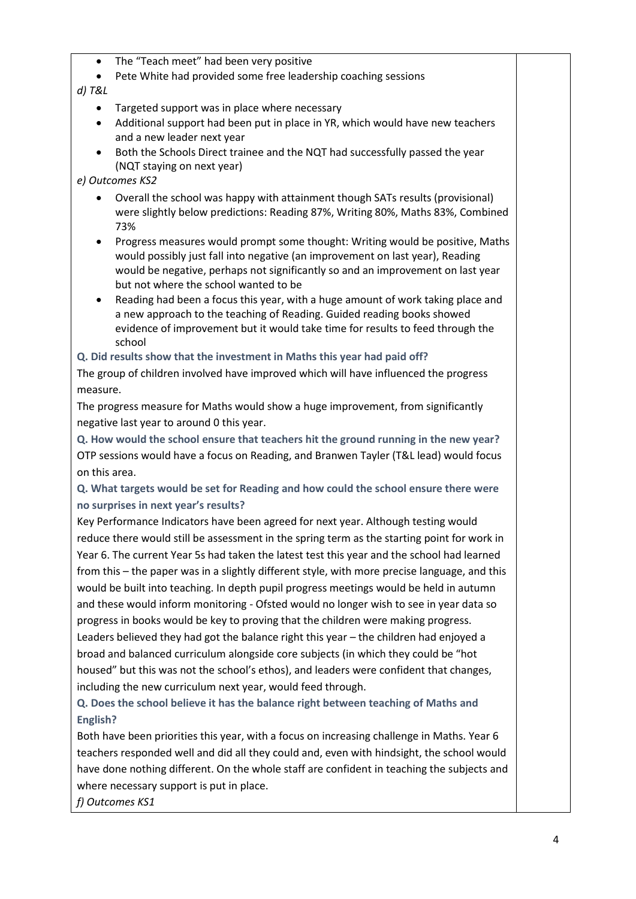- The "Teach meet" had been very positive
- Pete White had provided some free leadership coaching sessions

#### *d) T&L*

- Targeted support was in place where necessary
- Additional support had been put in place in YR, which would have new teachers and a new leader next year
- Both the Schools Direct trainee and the NQT had successfully passed the year (NQT staying on next year)

## *e) Outcomes KS2*

- Overall the school was happy with attainment though SATs results (provisional) were slightly below predictions: Reading 87%, Writing 80%, Maths 83%, Combined 73%
- Progress measures would prompt some thought: Writing would be positive, Maths would possibly just fall into negative (an improvement on last year), Reading would be negative, perhaps not significantly so and an improvement on last year but not where the school wanted to be
- Reading had been a focus this year, with a huge amount of work taking place and a new approach to the teaching of Reading. Guided reading books showed evidence of improvement but it would take time for results to feed through the school

**Q. Did results show that the investment in Maths this year had paid off?**

The group of children involved have improved which will have influenced the progress measure.

The progress measure for Maths would show a huge improvement, from significantly negative last year to around 0 this year.

**Q. How would the school ensure that teachers hit the ground running in the new year?** OTP sessions would have a focus on Reading, and Branwen Tayler (T&L lead) would focus on this area.

**Q. What targets would be set for Reading and how could the school ensure there were no surprises in next year's results?**

Key Performance Indicators have been agreed for next year. Although testing would reduce there would still be assessment in the spring term as the starting point for work in Year 6. The current Year 5s had taken the latest test this year and the school had learned from this – the paper was in a slightly different style, with more precise language, and this would be built into teaching. In depth pupil progress meetings would be held in autumn and these would inform monitoring - Ofsted would no longer wish to see in year data so progress in books would be key to proving that the children were making progress. Leaders believed they had got the balance right this year – the children had enjoyed a broad and balanced curriculum alongside core subjects (in which they could be "hot housed" but this was not the school's ethos), and leaders were confident that changes, including the new curriculum next year, would feed through.

**Q. Does the school believe it has the balance right between teaching of Maths and English?**

Both have been priorities this year, with a focus on increasing challenge in Maths. Year 6 teachers responded well and did all they could and, even with hindsight, the school would have done nothing different. On the whole staff are confident in teaching the subjects and where necessary support is put in place.

*f) Outcomes KS1*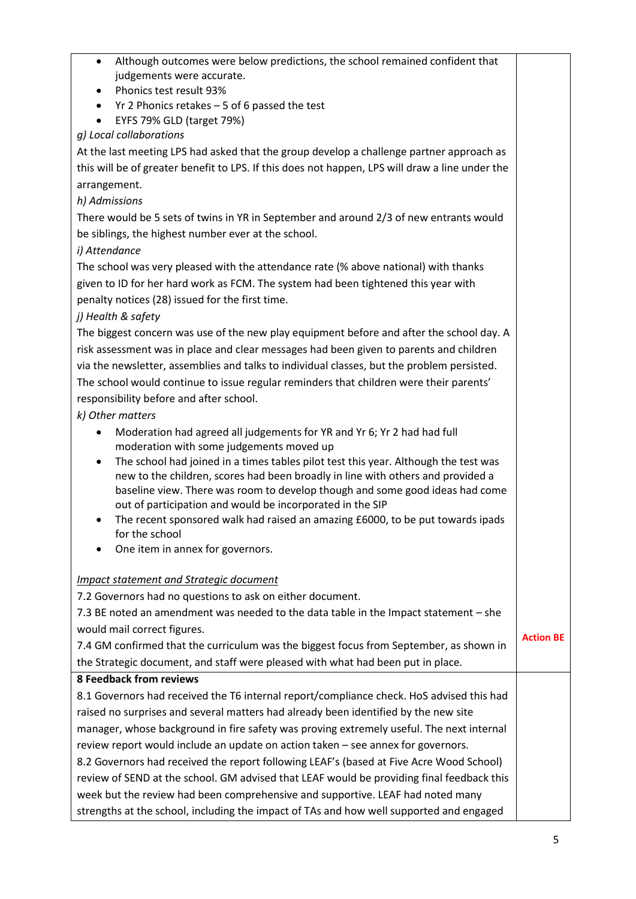| Although outcomes were below predictions, the school remained confident that<br>judgements were accurate.           |                  |
|---------------------------------------------------------------------------------------------------------------------|------------------|
| Phonics test result 93%<br>$\bullet$                                                                                |                  |
| Yr 2 Phonics retakes $-5$ of 6 passed the test<br>$\bullet$                                                         |                  |
| EYFS 79% GLD (target 79%)<br>$\bullet$                                                                              |                  |
| g) Local collaborations                                                                                             |                  |
| At the last meeting LPS had asked that the group develop a challenge partner approach as                            |                  |
| this will be of greater benefit to LPS. If this does not happen, LPS will draw a line under the                     |                  |
| arrangement.                                                                                                        |                  |
| h) Admissions                                                                                                       |                  |
| There would be 5 sets of twins in YR in September and around 2/3 of new entrants would                              |                  |
| be siblings, the highest number ever at the school.                                                                 |                  |
| i) Attendance                                                                                                       |                  |
| The school was very pleased with the attendance rate (% above national) with thanks                                 |                  |
| given to ID for her hard work as FCM. The system had been tightened this year with                                  |                  |
| penalty notices (28) issued for the first time.                                                                     |                  |
| j) Health & safety                                                                                                  |                  |
| The biggest concern was use of the new play equipment before and after the school day. A                            |                  |
| risk assessment was in place and clear messages had been given to parents and children                              |                  |
| via the newsletter, assemblies and talks to individual classes, but the problem persisted.                          |                  |
| The school would continue to issue regular reminders that children were their parents'                              |                  |
| responsibility before and after school.                                                                             |                  |
| k) Other matters                                                                                                    |                  |
| Moderation had agreed all judgements for YR and Yr 6; Yr 2 had had full<br>moderation with some judgements moved up |                  |
| The school had joined in a times tables pilot test this year. Although the test was<br>٠                            |                  |
| new to the children, scores had been broadly in line with others and provided a                                     |                  |
| baseline view. There was room to develop though and some good ideas had come                                        |                  |
| out of participation and would be incorporated in the SIP                                                           |                  |
| The recent sponsored walk had raised an amazing £6000, to be put towards ipads<br>٠                                 |                  |
| for the school                                                                                                      |                  |
| One item in annex for governors.                                                                                    |                  |
| Impact statement and Strategic document                                                                             |                  |
| 7.2 Governors had no questions to ask on either document.                                                           |                  |
| 7.3 BE noted an amendment was needed to the data table in the Impact statement - she                                |                  |
| would mail correct figures.                                                                                         |                  |
| 7.4 GM confirmed that the curriculum was the biggest focus from September, as shown in                              | <b>Action BE</b> |
| the Strategic document, and staff were pleased with what had been put in place.                                     |                  |
| <b>8 Feedback from reviews</b>                                                                                      |                  |
| 8.1 Governors had received the T6 internal report/compliance check. HoS advised this had                            |                  |
| raised no surprises and several matters had already been identified by the new site                                 |                  |
| manager, whose background in fire safety was proving extremely useful. The next internal                            |                  |
| review report would include an update on action taken - see annex for governors.                                    |                  |
| 8.2 Governors had received the report following LEAF's (based at Five Acre Wood School)                             |                  |
| review of SEND at the school. GM advised that LEAF would be providing final feedback this                           |                  |
| wook but the review had been comprehensive and supportive JEAE had noted many                                       |                  |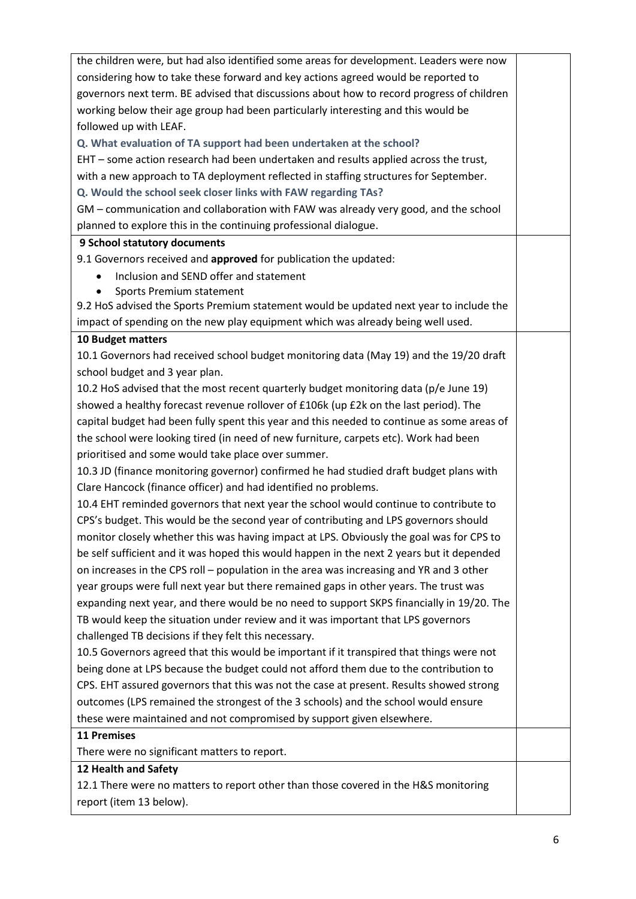| the children were, but had also identified some areas for development. Leaders were now    |  |
|--------------------------------------------------------------------------------------------|--|
| considering how to take these forward and key actions agreed would be reported to          |  |
| governors next term. BE advised that discussions about how to record progress of children  |  |
| working below their age group had been particularly interesting and this would be          |  |
| followed up with LEAF.                                                                     |  |
| Q. What evaluation of TA support had been undertaken at the school?                        |  |
| EHT - some action research had been undertaken and results applied across the trust,       |  |
| with a new approach to TA deployment reflected in staffing structures for September.       |  |
| Q. Would the school seek closer links with FAW regarding TAs?                              |  |
| GM - communication and collaboration with FAW was already very good, and the school        |  |
| planned to explore this in the continuing professional dialogue.                           |  |
| 9 School statutory documents                                                               |  |
| 9.1 Governors received and approved for publication the updated:                           |  |
| Inclusion and SEND offer and statement                                                     |  |
| Sports Premium statement                                                                   |  |
| 9.2 HoS advised the Sports Premium statement would be updated next year to include the     |  |
| impact of spending on the new play equipment which was already being well used.            |  |
| 10 Budget matters                                                                          |  |
| 10.1 Governors had received school budget monitoring data (May 19) and the 19/20 draft     |  |
| school budget and 3 year plan.                                                             |  |
| 10.2 HoS advised that the most recent quarterly budget monitoring data (p/e June 19)       |  |
| showed a healthy forecast revenue rollover of £106k (up £2k on the last period). The       |  |
| capital budget had been fully spent this year and this needed to continue as some areas of |  |
| the school were looking tired (in need of new furniture, carpets etc). Work had been       |  |
| prioritised and some would take place over summer.                                         |  |
| 10.3 JD (finance monitoring governor) confirmed he had studied draft budget plans with     |  |
| Clare Hancock (finance officer) and had identified no problems.                            |  |
| 10.4 EHT reminded governors that next year the school would continue to contribute to      |  |
| CPS's budget. This would be the second year of contributing and LPS governors should       |  |
| monitor closely whether this was having impact at LPS. Obviously the goal was for CPS to   |  |
| be self sufficient and it was hoped this would happen in the next 2 years but it depended  |  |
| on increases in the CPS roll - population in the area was increasing and YR and 3 other    |  |
| year groups were full next year but there remained gaps in other years. The trust was      |  |
| expanding next year, and there would be no need to support SKPS financially in 19/20. The  |  |
| TB would keep the situation under review and it was important that LPS governors           |  |
| challenged TB decisions if they felt this necessary.                                       |  |
| 10.5 Governors agreed that this would be important if it transpired that things were not   |  |
| being done at LPS because the budget could not afford them due to the contribution to      |  |
| CPS. EHT assured governors that this was not the case at present. Results showed strong    |  |
| outcomes (LPS remained the strongest of the 3 schools) and the school would ensure         |  |
| these were maintained and not compromised by support given elsewhere.                      |  |
| <b>11 Premises</b>                                                                         |  |
| There were no significant matters to report.                                               |  |
| 12 Health and Safety                                                                       |  |
| 12.1 There were no matters to report other than those covered in the H&S monitoring        |  |
| report (item 13 below).                                                                    |  |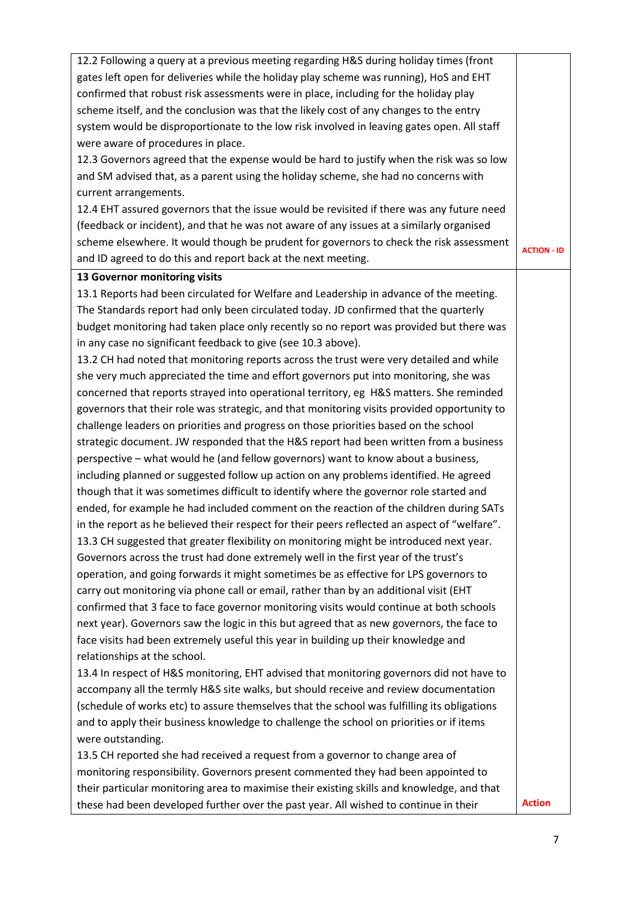| 12.2 Following a query at a previous meeting regarding H&S during holiday times (front       |                    |
|----------------------------------------------------------------------------------------------|--------------------|
| gates left open for deliveries while the holiday play scheme was running), HoS and EHT       |                    |
| confirmed that robust risk assessments were in place, including for the holiday play         |                    |
| scheme itself, and the conclusion was that the likely cost of any changes to the entry       |                    |
| system would be disproportionate to the low risk involved in leaving gates open. All staff   |                    |
| were aware of procedures in place.                                                           |                    |
| 12.3 Governors agreed that the expense would be hard to justify when the risk was so low     |                    |
| and SM advised that, as a parent using the holiday scheme, she had no concerns with          |                    |
|                                                                                              |                    |
| current arrangements.                                                                        |                    |
| 12.4 EHT assured governors that the issue would be revisited if there was any future need    |                    |
| (feedback or incident), and that he was not aware of any issues at a similarly organised     |                    |
| scheme elsewhere. It would though be prudent for governors to check the risk assessment      | <b>ACTION - ID</b> |
| and ID agreed to do this and report back at the next meeting.                                |                    |
| 13 Governor monitoring visits                                                                |                    |
| 13.1 Reports had been circulated for Welfare and Leadership in advance of the meeting.       |                    |
| The Standards report had only been circulated today. JD confirmed that the quarterly         |                    |
| budget monitoring had taken place only recently so no report was provided but there was      |                    |
| in any case no significant feedback to give (see 10.3 above).                                |                    |
| 13.2 CH had noted that monitoring reports across the trust were very detailed and while      |                    |
| she very much appreciated the time and effort governors put into monitoring, she was         |                    |
| concerned that reports strayed into operational territory, eg H&S matters. She reminded      |                    |
| governors that their role was strategic, and that monitoring visits provided opportunity to  |                    |
| challenge leaders on priorities and progress on those priorities based on the school         |                    |
| strategic document. JW responded that the H&S report had been written from a business        |                    |
| perspective - what would he (and fellow governors) want to know about a business,            |                    |
| including planned or suggested follow up action on any problems identified. He agreed        |                    |
| though that it was sometimes difficult to identify where the governor role started and       |                    |
| ended, for example he had included comment on the reaction of the children during SATs       |                    |
| in the report as he believed their respect for their peers reflected an aspect of "welfare". |                    |
| 13.3 CH suggested that greater flexibility on monitoring might be introduced next year.      |                    |
| Governors across the trust had done extremely well in the first year of the trust's          |                    |
| operation, and going forwards it might sometimes be as effective for LPS governors to        |                    |
| carry out monitoring via phone call or email, rather than by an additional visit (EHT        |                    |
| confirmed that 3 face to face governor monitoring visits would continue at both schools      |                    |
| next year). Governors saw the logic in this but agreed that as new governors, the face to    |                    |
| face visits had been extremely useful this year in building up their knowledge and           |                    |
| relationships at the school.                                                                 |                    |
| 13.4 In respect of H&S monitoring, EHT advised that monitoring governors did not have to     |                    |
| accompany all the termly H&S site walks, but should receive and review documentation         |                    |
| (schedule of works etc) to assure themselves that the school was fulfilling its obligations  |                    |
|                                                                                              |                    |
| and to apply their business knowledge to challenge the school on priorities or if items      |                    |
| were outstanding.                                                                            |                    |
| 13.5 CH reported she had received a request from a governor to change area of                |                    |
| monitoring responsibility. Governors present commented they had been appointed to            |                    |
| their particular monitoring area to maximise their existing skills and knowledge, and that   |                    |
| these had been developed further over the past year. All wished to continue in their         | <b>Action</b>      |